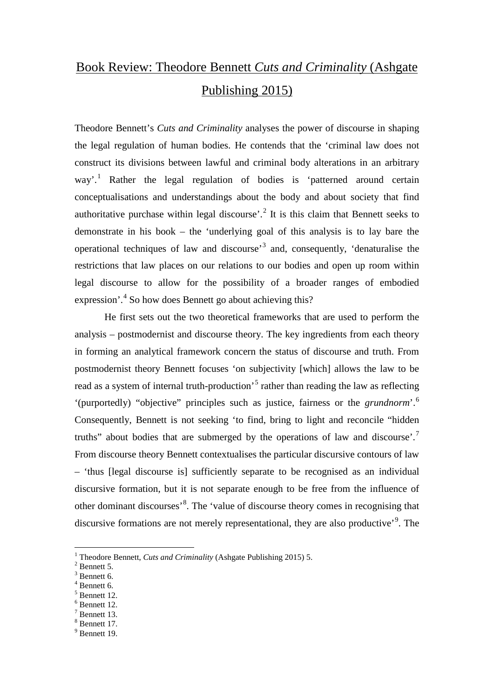## Book Review: Theodore Bennett *Cuts and Criminality* (Ashgate Publishing 2015)

Theodore Bennett's *Cuts and Criminality* analyses the power of discourse in shaping the legal regulation of human bodies. He contends that the 'criminal law does not construct its divisions between lawful and criminal body alterations in an arbitrary way'.<sup>[1](#page-0-0)</sup> Rather the legal regulation of bodies is 'patterned around certain conceptualisations and understandings about the body and about society that find authoritative purchase within legal discourse<sup> $2$ </sup>.<sup>2</sup> It is this claim that Bennett seeks to demonstrate in his book – the 'underlying goal of this analysis is to lay bare the operational techniques of law and discourse'[3](#page-0-2) and, consequently, 'denaturalise the restrictions that law places on our relations to our bodies and open up room within legal discourse to allow for the possibility of a broader ranges of embodied expression'.<sup>[4](#page-0-3)</sup> So how does Bennett go about achieving this?

He first sets out the two theoretical frameworks that are used to perform the analysis – postmodernist and discourse theory. The key ingredients from each theory in forming an analytical framework concern the status of discourse and truth. From postmodernist theory Bennett focuses 'on subjectivity [which] allows the law to be read as a system of internal truth-production<sup>[5](#page-0-4)</sup> rather than reading the law as reflecting '(purportedly) "objective" principles such as justice, fairness or the *grundnorm*'.[6](#page-0-5) Consequently, Bennett is not seeking 'to find, bring to light and reconcile "hidden truths" about bodies that are submerged by the operations of law and discourse'.[7](#page-0-6) From discourse theory Bennett contextualises the particular discursive contours of law – 'thus [legal discourse is] sufficiently separate to be recognised as an individual discursive formation, but it is not separate enough to be free from the influence of other dominant discourses'<sup>[8](#page-0-7)</sup>. The 'value of discourse theory comes in recognising that discursive formations are not merely representational, they are also productive'<sup>[9](#page-0-8)</sup>. The

- <span id="page-0-3"></span><sup>4</sup> Bennett 6.
- <span id="page-0-4"></span><sup>5</sup> Bennett 12.

<sup>7</sup> Bennett 13.

<span id="page-0-8"></span><sup>9</sup> Bennett 19.

<span id="page-0-0"></span><sup>&</sup>lt;sup>1</sup> Theodore Bennett, *Cuts and Criminality* (Ashgate Publishing 2015) 5. <sup>2</sup> Bennett 5.

<span id="page-0-2"></span><span id="page-0-1"></span><sup>&</sup>lt;sup>3</sup> Bennett 6.

<span id="page-0-5"></span><sup>6</sup> Bennett 12.

<span id="page-0-7"></span><span id="page-0-6"></span><sup>8</sup> Bennett 17.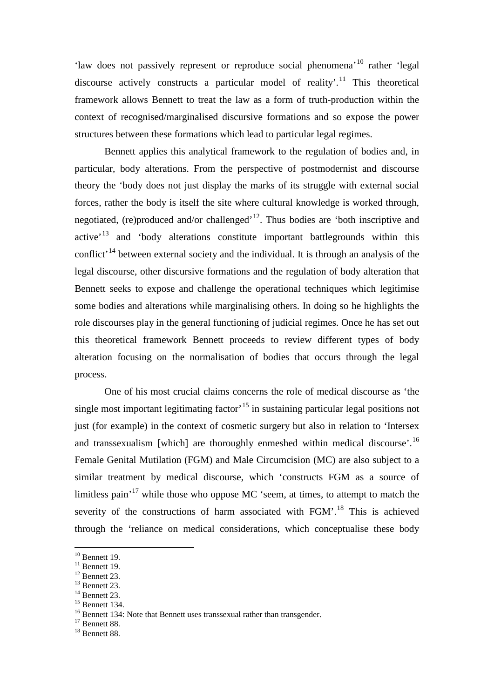'law does not passively represent or reproduce social phenomena'[10](#page-1-0) rather 'legal discourse actively constructs a particular model of reality'.<sup>[11](#page-1-1)</sup> This theoretical framework allows Bennett to treat the law as a form of truth-production within the context of recognised/marginalised discursive formations and so expose the power structures between these formations which lead to particular legal regimes.

Bennett applies this analytical framework to the regulation of bodies and, in particular, body alterations. From the perspective of postmodernist and discourse theory the 'body does not just display the marks of its struggle with external social forces, rather the body is itself the site where cultural knowledge is worked through, negotiated, (re)produced and/or challenged<sup> $12$ </sup>. Thus bodies are 'both inscriptive and active<sup>'[13](#page-1-3)</sup> and 'body alterations constitute important battlegrounds within this conflict<sup> $14$ </sup> between external society and the individual. It is through an analysis of the legal discourse, other discursive formations and the regulation of body alteration that Bennett seeks to expose and challenge the operational techniques which legitimise some bodies and alterations while marginalising others. In doing so he highlights the role discourses play in the general functioning of judicial regimes. Once he has set out this theoretical framework Bennett proceeds to review different types of body alteration focusing on the normalisation of bodies that occurs through the legal process.

One of his most crucial claims concerns the role of medical discourse as 'the single most important legitimating factor<sup> $15$ </sup> in sustaining particular legal positions not just (for example) in the context of cosmetic surgery but also in relation to 'Intersex and transsexualism [which] are thoroughly enmeshed within medical discourse'.<sup>[16](#page-1-6)</sup> Female Genital Mutilation (FGM) and Male Circumcision (MC) are also subject to a similar treatment by medical discourse, which 'constructs FGM as a source of limitless pain<sup> $17$ </sup> while those who oppose MC 'seem, at times, to attempt to match the severity of the constructions of harm associated with FGM'.<sup>[18](#page-1-8)</sup> This is achieved through the 'reliance on medical considerations, which conceptualise these body

<span id="page-1-3"></span><span id="page-1-2"></span>

<span id="page-1-6"></span><span id="page-1-5"></span><span id="page-1-4"></span>

<span id="page-1-1"></span><span id="page-1-0"></span><sup>&</sup>lt;sup>10</sup> Bennett 19.<br>
<sup>11</sup> Bennett 19.<br>
<sup>12</sup> Bennett 23.<br>
<sup>14</sup> Bennett 23.<br>
<sup>15</sup> Bennett 134.<br>
<sup>16</sup> Bennett 134: Note that Bennett uses transsexual rather than transgender.<br>
<sup>17</sup> Bennett 88.<br>
<sup>18</sup> Bennett 88.

<span id="page-1-7"></span>

<span id="page-1-8"></span>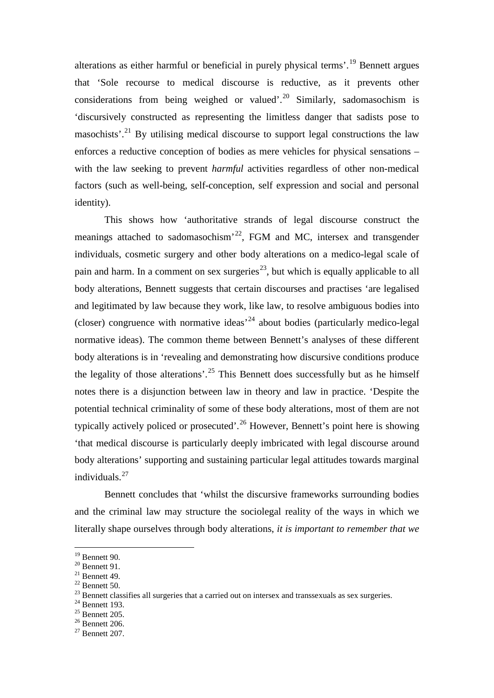alterations as either harmful or beneficial in purely physical terms'.[19](#page-2-0) Bennett argues that 'Sole recourse to medical discourse is reductive, as it prevents other considerations from being weighed or valued'.<sup>[20](#page-2-1)</sup> Similarly, sadomasochism is 'discursively constructed as representing the limitless danger that sadists pose to masochists'.<sup>[21](#page-2-2)</sup> By utilising medical discourse to support legal constructions the law enforces a reductive conception of bodies as mere vehicles for physical sensations – with the law seeking to prevent *harmful* activities regardless of other non-medical factors (such as well-being, self-conception, self expression and social and personal identity).

This shows how 'authoritative strands of legal discourse construct the meanings attached to sadomasochism<sup> $22$ </sup>, FGM and MC, intersex and transgender individuals, cosmetic surgery and other body alterations on a medico-legal scale of pain and harm. In a comment on sex surgeries<sup>[23](#page-2-4)</sup>, but which is equally applicable to all body alterations, Bennett suggests that certain discourses and practises 'are legalised and legitimated by law because they work, like law, to resolve ambiguous bodies into (closer) congruence with normative ideas<sup> $24$ </sup> about bodies (particularly medico-legal normative ideas). The common theme between Bennett's analyses of these different body alterations is in 'revealing and demonstrating how discursive conditions produce the legality of those alterations'.<sup>[25](#page-2-6)</sup> This Bennett does successfully but as he himself notes there is a disjunction between law in theory and law in practice. 'Despite the potential technical criminality of some of these body alterations, most of them are not typically actively policed or prosecuted'.<sup>[26](#page-2-7)</sup> However, Bennett's point here is showing 'that medical discourse is particularly deeply imbricated with legal discourse around body alterations' supporting and sustaining particular legal attitudes towards marginal individuals. [27](#page-2-8)

Bennett concludes that 'whilst the discursive frameworks surrounding bodies and the criminal law may structure the sociolegal reality of the ways in which we literally shape ourselves through body alterations, *it is important to remember that we* 

<span id="page-2-2"></span>

<span id="page-2-4"></span><span id="page-2-3"></span>

<span id="page-2-1"></span><span id="page-2-0"></span><sup>&</sup>lt;sup>19</sup> Bennett 90.<br>
<sup>20</sup> Bennett 91.<br>
<sup>21</sup> Bennett 49.<br>
<sup>22</sup> Bennett 49.<br>
<sup>23</sup> Bennett classifies all surgeries that a carried out on intersex and transsexuals as sex surgeries.<br>
<sup>24</sup> Bennett 193.<br>
<sup>25</sup> Bennett 205.<br>
<sup>26</sup> B

<span id="page-2-5"></span>

<span id="page-2-6"></span>

<span id="page-2-8"></span><span id="page-2-7"></span>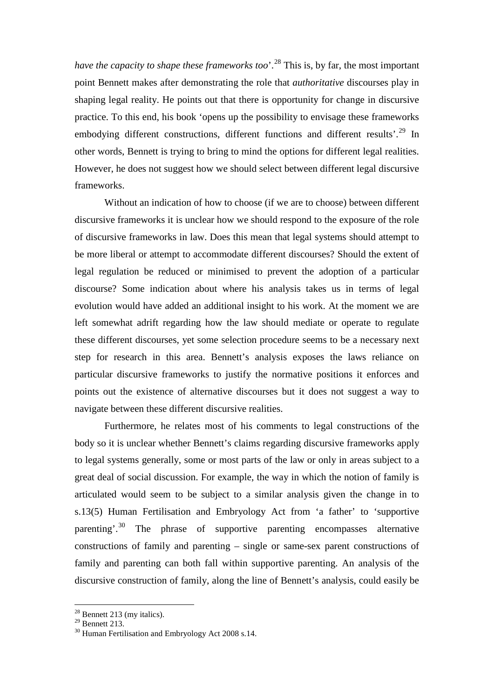*have the capacity to shape these frameworks too*'.<sup>[28](#page-3-0)</sup> This is, by far, the most important point Bennett makes after demonstrating the role that *authoritative* discourses play in shaping legal reality. He points out that there is opportunity for change in discursive practice. To this end, his book 'opens up the possibility to envisage these frameworks embodying different constructions, different functions and different results'.<sup>[29](#page-3-1)</sup> In other words, Bennett is trying to bring to mind the options for different legal realities. However, he does not suggest how we should select between different legal discursive frameworks.

Without an indication of how to choose (if we are to choose) between different discursive frameworks it is unclear how we should respond to the exposure of the role of discursive frameworks in law. Does this mean that legal systems should attempt to be more liberal or attempt to accommodate different discourses? Should the extent of legal regulation be reduced or minimised to prevent the adoption of a particular discourse? Some indication about where his analysis takes us in terms of legal evolution would have added an additional insight to his work. At the moment we are left somewhat adrift regarding how the law should mediate or operate to regulate these different discourses, yet some selection procedure seems to be a necessary next step for research in this area. Bennett's analysis exposes the laws reliance on particular discursive frameworks to justify the normative positions it enforces and points out the existence of alternative discourses but it does not suggest a way to navigate between these different discursive realities.

Furthermore, he relates most of his comments to legal constructions of the body so it is unclear whether Bennett's claims regarding discursive frameworks apply to legal systems generally, some or most parts of the law or only in areas subject to a great deal of social discussion. For example, the way in which the notion of family is articulated would seem to be subject to a similar analysis given the change in to s.13(5) Human Fertilisation and Embryology Act from 'a father' to 'supportive parenting'.<sup>[30](#page-3-2)</sup> The phrase of supportive parenting encompasses alternative constructions of family and parenting – single or same-sex parent constructions of family and parenting can both fall within supportive parenting. An analysis of the discursive construction of family, along the line of Bennett's analysis, could easily be

<span id="page-3-1"></span><span id="page-3-0"></span> $\frac{^{28}}{^{29}}$  Bennett 213 (my italics).<br><sup>29</sup> Bennett 213.

<span id="page-3-2"></span> $30$  Human Fertilisation and Embryology Act 2008 s.14.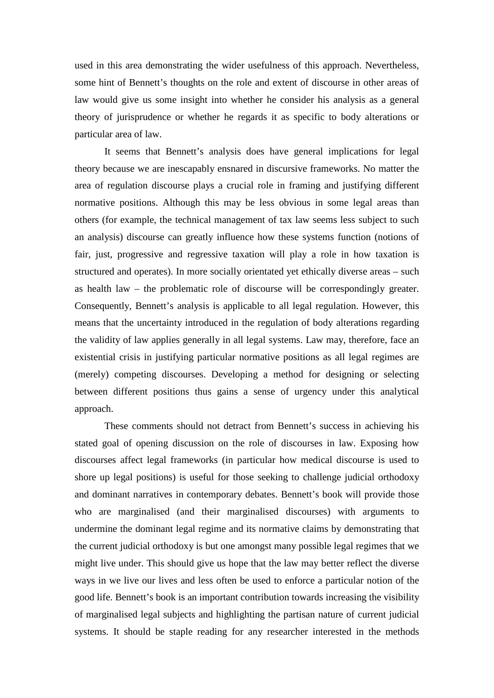used in this area demonstrating the wider usefulness of this approach. Nevertheless, some hint of Bennett's thoughts on the role and extent of discourse in other areas of law would give us some insight into whether he consider his analysis as a general theory of jurisprudence or whether he regards it as specific to body alterations or particular area of law.

It seems that Bennett's analysis does have general implications for legal theory because we are inescapably ensnared in discursive frameworks. No matter the area of regulation discourse plays a crucial role in framing and justifying different normative positions. Although this may be less obvious in some legal areas than others (for example, the technical management of tax law seems less subject to such an analysis) discourse can greatly influence how these systems function (notions of fair, just, progressive and regressive taxation will play a role in how taxation is structured and operates). In more socially orientated yet ethically diverse areas – such as health law – the problematic role of discourse will be correspondingly greater. Consequently, Bennett's analysis is applicable to all legal regulation. However, this means that the uncertainty introduced in the regulation of body alterations regarding the validity of law applies generally in all legal systems. Law may, therefore, face an existential crisis in justifying particular normative positions as all legal regimes are (merely) competing discourses. Developing a method for designing or selecting between different positions thus gains a sense of urgency under this analytical approach.

These comments should not detract from Bennett's success in achieving his stated goal of opening discussion on the role of discourses in law. Exposing how discourses affect legal frameworks (in particular how medical discourse is used to shore up legal positions) is useful for those seeking to challenge judicial orthodoxy and dominant narratives in contemporary debates. Bennett's book will provide those who are marginalised (and their marginalised discourses) with arguments to undermine the dominant legal regime and its normative claims by demonstrating that the current judicial orthodoxy is but one amongst many possible legal regimes that we might live under. This should give us hope that the law may better reflect the diverse ways in we live our lives and less often be used to enforce a particular notion of the good life. Bennett's book is an important contribution towards increasing the visibility of marginalised legal subjects and highlighting the partisan nature of current judicial systems. It should be staple reading for any researcher interested in the methods